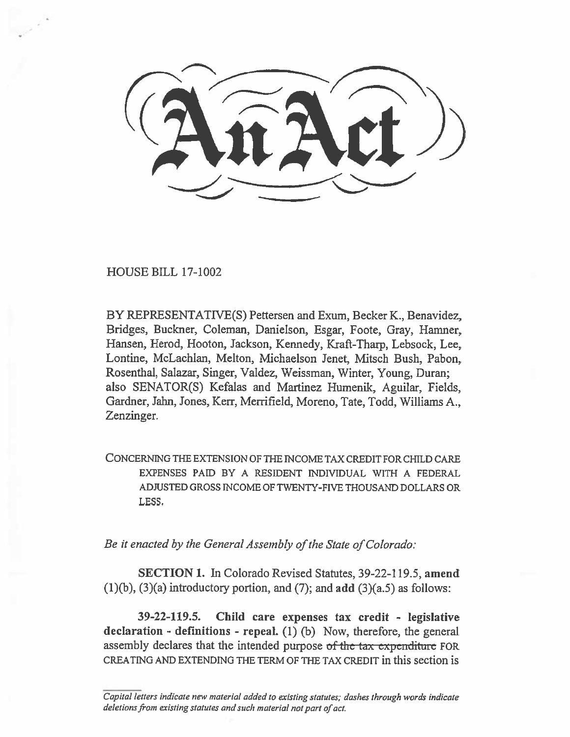HOUSE BILL 17-1002

BY REPRESENTATIVE(S) Pettersen and Exum, Becker K., Benavidez, Bridges, Buckner, Coleman, Danielson, Esgar, Foote, Gray, Hamner, Hansen, Herod, Hooton, Jackson, Kennedy, Kraft-Tharp, Lebsock, Lee, Lontine, McLachlan, Melton, Michaelson Jenet, Mitsch Bush, Pabon, Rosenthal, Salazar, Singer, Valdez, Weissman, Winter, Young, Duran; also SENATOR(S) Kefalas and Martinez Humenik, Aguilar, Fields, **Gardner,** Jahn, Jones, Kerr, Merrifield, Moreno, Tate, Todd, Williams A., Zenzinger.

CONCERNING THE EXTENSION OF THE INCOME TAX CREDIT FOR CHILD CARE EXPENSES PAID BY A RESIDENT INDIVIDUAL WITH A FEDERAL ADJUSTED GROSS INCOME OF TWENTY-FIVE THOUSAND DOLLARS OR LESS.

*Be it enacted by the General Assembly of the State of Colorado:* 

**SECTION 1. In Colorado** Revised Statutes, 39-22-119.5, **amend (1)(b), (3)(a) introductory portion, and (7); and add** (3)(a.5) as follows:

**39-22-119.5. Child care expenses tax credit - legislative declaration - definitions - repeal. (1)** (b) Now, therefore, the general assembly declares that the intended purpose of the tax expenditure FOR CREATING AND EXTENDING THE TERM OF THE TAX CREDIT in this section is

*Capital letters indicate new material added to existing statutes; dashes through words indicate deletions from existing statutes and such material not part of act.*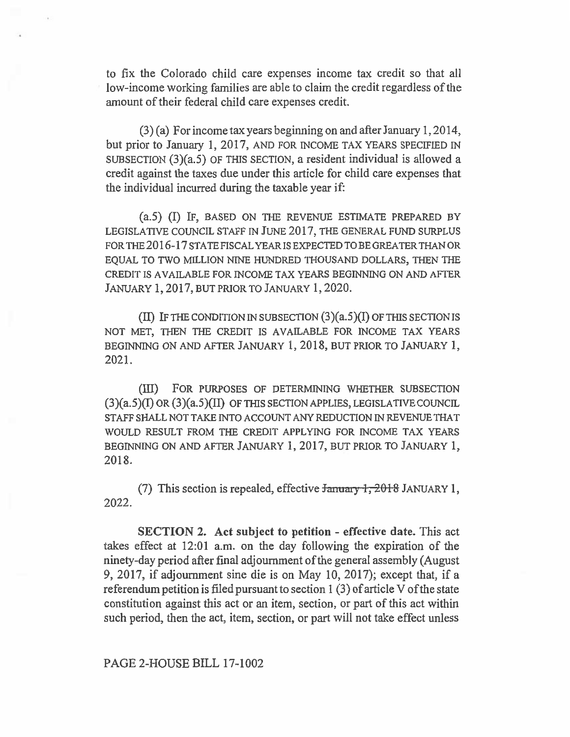to fix the Colorado child care expenses income tax credit so that all low-income working families are able to claim the credit regardless of the amount of their federal child care expenses credit.

(3) (a) For income tax years beginning on and after January 1, 2014, but prior to January 1, 2017, AND FOR INCOME TAX YEARS SPECIFIED IN SUBSECTION (3)(a.5) OF THIS SECTION, a resident individual is allowed a credit against the taxes due under this article for child care expenses that the individual incurred during the taxable year if:

(a.5) (I) IF, BASED ON THE REVENUE ESTIMATE PREPARED BY LEGISLATIVE COUNCIL STAFF IN JUNE 2017, THE GENERAL FUND SURPLUS FOR THE 2016-17 STATE FISCAL YEAR IS EXPECTED TO BE GREATER THAN OR EQUAL TO TWO MILLION NINE HUNDRED THOUSAND DOLLARS, THEN THE CREDIT IS AVAILABLE FOR INCOME TAX YEARS BEGINNING ON AND AFTER JANUARY 1, 2017, BUT PRIOR TO JANUARY 1, 2020.

(II) IF THE CONDITION IN SUBSECTION  $(3)(a.5)(I)$  OF THIS SECTION IS NOT MET, THEN THE CREDIT IS AVAILABLE FOR INCOME TAX YEARS BEGINNING ON AND AFTER JANUARY 1, 2018, BUT PRIOR TO JANUARY 1, 2021.

(III) FOR PURPOSES OF DETERMINING WHETHER SUBSECTION  $(3)(a.5)(I)$  OR  $(3)(a.5)(II)$  OF THIS SECTION APPLIES, LEGISLATIVE COUNCIL STAFF SHALL NOT TAKE INTO ACCOUNT ANY REDUCTION IN REVENUE THAT WOULD RESULT FROM THE CREDIT APPLYING FOR INCOME TAX YEARS BEGINNING ON AND AFTER JANUARY 1, 2017, BUT PRIOR TO JANUARY 1, 2018.

(7) This section is repealed, effective  $\frac{1}{2018}$  JANUARY 1, 2022.

**SECTION 2. Act subject to petition - effective date.** This act takes effect at 12:01 a.m. on the day following the expiration of the ninety-day period after final adjournment of the general assembly (August 9, 2017, if adjournment sine die is on May 10, 2017); except that, if a referendum petition is filed pursuant to section 1 (3) of article V of the state constitution against this act or an item, section, or part of this act within such period, then the act, item, section, or part will not take effect unless

## PAGE 2-HOUSE BILL 17-1002